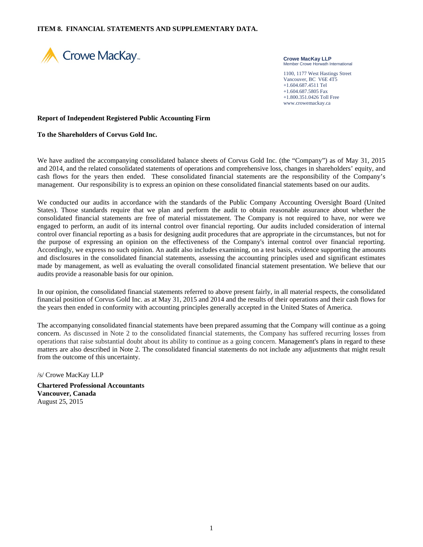### **ITEM 8. FINANCIAL STATEMENTS AND SUPPLEMENTARY DATA.**



#### **Crowe MacKay LLP**  Member Crowe Horwath International

1100, 1177 West Hastings Street Vancouver, BC V6E 4T5 +1.604.687.4511 Tel +1.604.687.5805 Fax +1.800.351.0426 Toll Free www.crowemackay.ca

#### **Report of Independent Registered Public Accounting Firm**

**To the Shareholders of Corvus Gold Inc.** 

We have audited the accompanying consolidated balance sheets of Corvus Gold Inc. (the "Company") as of May 31, 2015 and 2014, and the related consolidated statements of operations and comprehensive loss, changes in shareholders' equity, and cash flows for the years then ended. These consolidated financial statements are the responsibility of the Company's management. Our responsibility is to express an opinion on these consolidated financial statements based on our audits.

We conducted our audits in accordance with the standards of the Public Company Accounting Oversight Board (United States). Those standards require that we plan and perform the audit to obtain reasonable assurance about whether the consolidated financial statements are free of material misstatement. The Company is not required to have, nor were we engaged to perform, an audit of its internal control over financial reporting. Our audits included consideration of internal control over financial reporting as a basis for designing audit procedures that are appropriate in the circumstances, but not for the purpose of expressing an opinion on the effectiveness of the Company's internal control over financial reporting. Accordingly, we express no such opinion. An audit also includes examining, on a test basis, evidence supporting the amounts and disclosures in the consolidated financial statements, assessing the accounting principles used and significant estimates made by management, as well as evaluating the overall consolidated financial statement presentation. We believe that our audits provide a reasonable basis for our opinion.

In our opinion, the consolidated financial statements referred to above present fairly, in all material respects, the consolidated financial position of Corvus Gold Inc. as at May 31, 2015 and 2014 and the results of their operations and their cash flows for the years then ended in conformity with accounting principles generally accepted in the United States of America.

The accompanying consolidated financial statements have been prepared assuming that the Company will continue as a going concern. As discussed in Note 2 to the consolidated financial statements, the Company has suffered recurring losses from operations that raise substantial doubt about its ability to continue as a going concern. Management's plans in regard to these matters are also described in Note 2. The consolidated financial statements do not include any adjustments that might result from the outcome of this uncertainty.

/s/ Crowe MacKay LLP **Chartered Professional Accountants Vancouver, Canada** August 25, 2015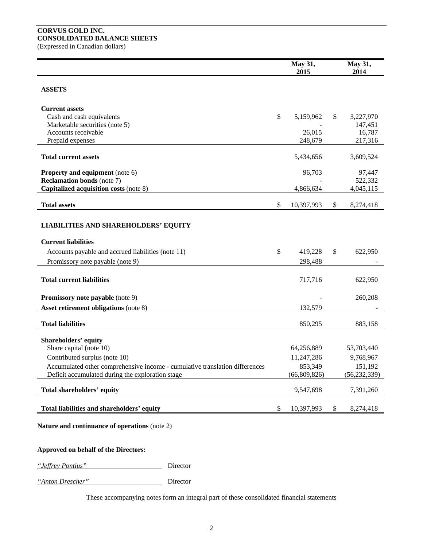# **CORVUS GOLD INC. CONSOLIDATED BALANCE SHEETS**

(Expressed in Canadian dollars)

|                                                                             | May 31,<br>2015  | <b>May 31,</b><br>2014     |
|-----------------------------------------------------------------------------|------------------|----------------------------|
| <b>ASSETS</b>                                                               |                  |                            |
|                                                                             |                  |                            |
| <b>Current assets</b>                                                       | \$               |                            |
| Cash and cash equivalents<br>Marketable securities (note 5)                 | 5,159,962        | \$<br>3,227,970<br>147,451 |
| Accounts receivable                                                         | 26,015           | 16,787                     |
| Prepaid expenses                                                            | 248,679          | 217,316                    |
|                                                                             |                  |                            |
| <b>Total current assets</b>                                                 | 5,434,656        | 3,609,524                  |
| <b>Property and equipment</b> (note 6)                                      | 96,703           | 97,447                     |
| <b>Reclamation bonds</b> (note 7)                                           |                  | 522,332                    |
| Capitalized acquisition costs (note 8)                                      | 4,866,634        | 4,045,115                  |
| <b>Total assets</b>                                                         | \$<br>10,397,993 | \$<br>8,274,418            |
|                                                                             |                  |                            |
| <b>LIABILITIES AND SHAREHOLDERS' EQUITY</b>                                 |                  |                            |
| <b>Current liabilities</b>                                                  |                  |                            |
| Accounts payable and accrued liabilities (note 11)                          | \$<br>419,228    | \$<br>622,950              |
| Promissory note payable (note 9)                                            | 298,488          |                            |
|                                                                             |                  |                            |
| <b>Total current liabilities</b>                                            | 717,716          | 622,950                    |
| <b>Promissory note payable</b> (note 9)                                     |                  | 260,208                    |
| <b>Asset retirement obligations (note 8)</b>                                | 132,579          |                            |
|                                                                             |                  |                            |
| <b>Total liabilities</b>                                                    | 850,295          | 883,158                    |
| <b>Shareholders' equity</b>                                                 |                  |                            |
| Share capital (note 10)                                                     | 64,256,889       | 53,703,440                 |
| Contributed surplus (note 10)                                               | 11,247,286       | 9,768,967                  |
| Accumulated other comprehensive income - cumulative translation differences | 853,349          | 151,192                    |
| Deficit accumulated during the exploration stage                            | (66, 809, 826)   | (56, 232, 339)             |
| Total shareholders' equity                                                  | 9,547,698        | 7,391,260                  |
|                                                                             |                  |                            |
| Total liabilities and shareholders' equity                                  | \$<br>10,397,993 | \$<br>8,274,418            |
| Nature and continuance of operations (note 2)                               |                  |                            |

## **Approved on behalf of the Directors:**

*"Jeffrey Pontius"* Director

*"Anton Drescher"* Director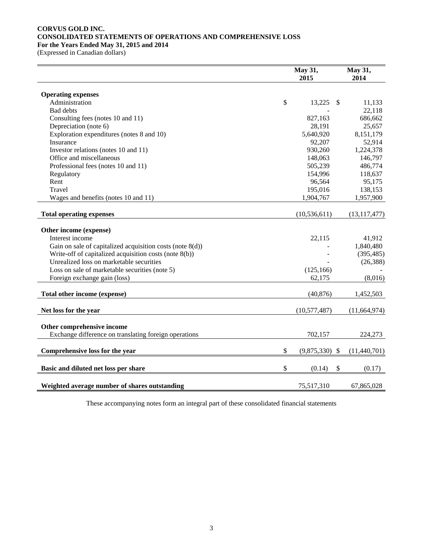## **CORVUS GOLD INC. CONSOLIDATED STATEMENTS OF OPERATIONS AND COMPREHENSIVE LOSS For the Years Ended May 31, 2015 and 2014**

(Expressed in Canadian dollars)

|                                                              | May 31,<br>2015        | May 31,<br>2014 |
|--------------------------------------------------------------|------------------------|-----------------|
|                                                              |                        |                 |
| <b>Operating expenses</b><br>Administration                  | \$<br>13,225<br>S      | 11,133          |
| <b>Bad debts</b>                                             |                        | 22,118          |
|                                                              | 827,163                | 686,662         |
| Consulting fees (notes 10 and 11)<br>Depreciation (note 6)   | 28,191                 | 25,657          |
|                                                              | 5,640,920              | 8,151,179       |
| Exploration expenditures (notes 8 and 10)<br>Insurance       |                        |                 |
|                                                              | 92,207                 | 52,914          |
| Investor relations (notes 10 and 11)                         | 930,260                | 1,224,378       |
| Office and miscellaneous                                     | 148,063                | 146,797         |
| Professional fees (notes 10 and 11)                          | 505,239                | 486,774         |
| Regulatory                                                   | 154,996                | 118,637         |
| Rent                                                         | 96,564                 | 95,175          |
| Travel                                                       | 195,016                | 138,153         |
| Wages and benefits (notes 10 and 11)                         | 1,904,767              | 1,957,900       |
| <b>Total operating expenses</b>                              | (10, 536, 611)         | (13, 117, 477)  |
|                                                              |                        |                 |
| Other income (expense)                                       |                        |                 |
| Interest income                                              | 22,115                 | 41,912          |
| Gain on sale of capitalized acquisition costs (note $8(d)$ ) |                        | 1,840,480       |
| Write-off of capitalized acquisition costs (note $8(b)$ )    |                        | (395, 485)      |
| Unrealized loss on marketable securities                     |                        | (26, 388)       |
| Loss on sale of marketable securities (note 5)               | (125, 166)             |                 |
| Foreign exchange gain (loss)                                 | 62,175                 | (8,016)         |
|                                                              |                        |                 |
| Total other income (expense)                                 | (40, 876)              | 1,452,503       |
| Net loss for the year                                        | (10,577,487)           | (11, 664, 974)  |
|                                                              |                        |                 |
| Other comprehensive income                                   |                        |                 |
| Exchange difference on translating foreign operations        | 702,157                | 224,273         |
|                                                              |                        |                 |
| Comprehensive loss for the year                              | \$<br>$(9,875,330)$ \$ | (11,440,701)    |
| Basic and diluted net loss per share                         | \$<br>\$<br>(0.14)     | (0.17)          |
|                                                              |                        |                 |
| Weighted average number of shares outstanding                | 75,517,310             | 67,865,028      |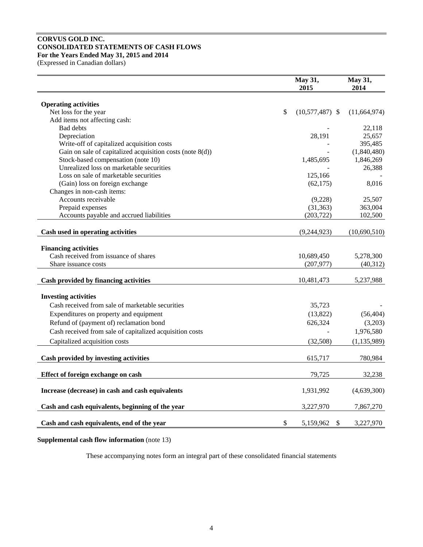## **CORVUS GOLD INC. CONSOLIDATED STATEMENTS OF CASH FLOWS For the Years Ended May 31, 2015 and 2014**

(Expressed in Canadian dollars)

|                                                              | May 31,<br>2015                              | May 31,<br>2014 |
|--------------------------------------------------------------|----------------------------------------------|-----------------|
| <b>Operating activities</b>                                  |                                              |                 |
| Net loss for the year                                        | \$<br>$(10,577,487)$ \$                      | (11, 664, 974)  |
| Add items not affecting cash:                                |                                              |                 |
| <b>Bad debts</b>                                             |                                              | 22,118          |
| Depreciation                                                 | 28,191                                       | 25,657          |
| Write-off of capitalized acquisition costs                   |                                              | 395,485         |
| Gain on sale of capitalized acquisition costs (note $8(d)$ ) |                                              | (1,840,480)     |
| Stock-based compensation (note 10)                           | 1,485,695                                    | 1,846,269       |
| Unrealized loss on marketable securities                     |                                              |                 |
|                                                              |                                              | 26,388          |
| Loss on sale of marketable securities                        | 125,166                                      |                 |
| (Gain) loss on foreign exchange                              | (62, 175)                                    | 8,016           |
| Changes in non-cash items:                                   |                                              |                 |
| Accounts receivable                                          | (9,228)                                      | 25,507          |
| Prepaid expenses                                             | (31, 363)                                    | 363,004         |
| Accounts payable and accrued liabilities                     | (203, 722)                                   | 102,500         |
| Cash used in operating activities                            | (9,244,923)                                  | (10,690,510)    |
|                                                              |                                              |                 |
| <b>Financing activities</b>                                  |                                              |                 |
| Cash received from issuance of shares                        | 10,689,450                                   | 5,278,300       |
| Share issuance costs                                         | (207, 977)                                   | (40,312)        |
|                                                              |                                              |                 |
| Cash provided by financing activities                        | 10,481,473                                   | 5,237,988       |
|                                                              |                                              |                 |
| <b>Investing activities</b>                                  |                                              |                 |
| Cash received from sale of marketable securities             | 35,723                                       |                 |
| Expenditures on property and equipment                       | (13,822)                                     | (56, 404)       |
| Refund of (payment of) reclamation bond                      | 626,324                                      | (3,203)         |
| Cash received from sale of capitalized acquisition costs     |                                              | 1,976,580       |
| Capitalized acquisition costs                                | (32,508)                                     | (1, 135, 989)   |
|                                                              |                                              |                 |
| Cash provided by investing activities                        | 615,717                                      | 780,984         |
| Effect of foreign exchange on cash                           | 79,725                                       | 32,238          |
| Increase (decrease) in cash and cash equivalents             | 1,931,992                                    | (4,639,300)     |
| Cash and cash equivalents, beginning of the year             | 3,227,970                                    | 7,867,270       |
| Cash and cash equivalents, end of the year                   | \$<br>5,159,962<br>$\boldsymbol{\mathsf{S}}$ | 3,227,970       |

**Supplemental cash flow information** (note 13)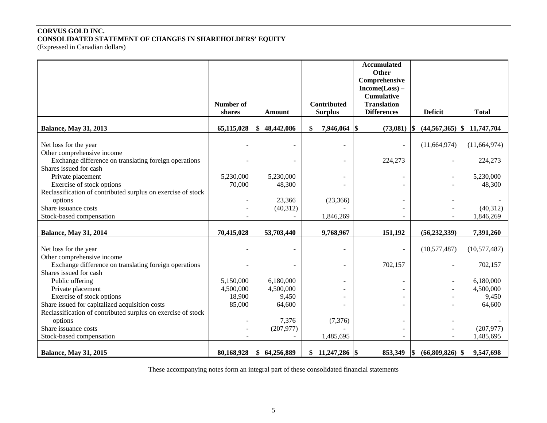## **CORVUS GOLD INC. CONSOLIDATED STATEMENT OF CHANGES IN SHAREHOLDERS' EQUITY**

(Expressed in Canadian dollars)

|                                                                                 |            |                    |                       | <b>Accumulated</b><br>Other<br>Comprehensive |                    |                 |
|---------------------------------------------------------------------------------|------------|--------------------|-----------------------|----------------------------------------------|--------------------|-----------------|
|                                                                                 |            |                    |                       | $Income(Loss) -$                             |                    |                 |
|                                                                                 | Number of  |                    | Contributed           | <b>Cumulative</b><br><b>Translation</b>      |                    |                 |
|                                                                                 | shares     | <b>Amount</b>      | <b>Surplus</b>        | <b>Differences</b>                           | <b>Deficit</b>     | <b>Total</b>    |
| <b>Balance, May 31, 2013</b>                                                    | 65,115,028 | \$48,442,086       | \$<br>7,946,064 \$    | $(73,081)$ \$                                | (44, 567, 365)     | \$11,747,704    |
| Net loss for the year                                                           |            |                    |                       | $\overline{\phantom{a}}$                     | (11, 664, 974)     | (11, 664, 974)  |
| Other comprehensive income                                                      |            |                    |                       |                                              |                    |                 |
| Exchange difference on translating foreign operations<br>Shares issued for cash |            |                    |                       | 224,273                                      |                    | 224,273         |
| Private placement                                                               | 5,230,000  | 5,230,000          |                       |                                              |                    | 5,230,000       |
| Exercise of stock options                                                       | 70,000     | 48,300             |                       |                                              |                    | 48,300          |
| Reclassification of contributed surplus on exercise of stock                    |            |                    |                       |                                              |                    |                 |
| options<br>Share issuance costs                                                 |            | 23,366<br>(40,312) | (23,366)              |                                              |                    | (40,312)        |
| Stock-based compensation                                                        |            |                    | 1,846,269             | ٠                                            |                    | 1,846,269       |
|                                                                                 |            |                    |                       |                                              |                    |                 |
| <b>Balance, May 31, 2014</b>                                                    | 70,415,028 | 53,703,440         | 9,768,967             | 151,192                                      | (56, 232, 339)     | 7,391,260       |
| Net loss for the year                                                           |            |                    |                       | $\overline{\phantom{0}}$                     | (10,577,487)       | (10, 577, 487)  |
| Other comprehensive income                                                      |            |                    |                       |                                              |                    |                 |
| Exchange difference on translating foreign operations                           |            |                    |                       | 702,157                                      |                    | 702,157         |
| Shares issued for cash<br>Public offering                                       | 5,150,000  | 6,180,000          |                       |                                              |                    | 6,180,000       |
| Private placement                                                               | 4,500,000  | 4,500,000          |                       |                                              |                    | 4,500,000       |
| Exercise of stock options                                                       | 18,900     | 9,450              |                       |                                              |                    | 9,450           |
| Share issued for capitalized acquisition costs                                  | 85,000     | 64,600             |                       |                                              |                    | 64,600          |
| Reclassification of contributed surplus on exercise of stock                    |            |                    |                       |                                              |                    |                 |
| options                                                                         |            | 7,376              | (7,376)               |                                              |                    |                 |
| Share issuance costs                                                            |            | (207, 977)         |                       |                                              |                    | (207, 977)      |
| Stock-based compensation                                                        |            |                    | 1,485,695             |                                              |                    | 1,485,695       |
| <b>Balance, May 31, 2015</b>                                                    | 80,168,928 | \$64,256,889       | $11,247,286$ \$<br>\$ | 853,349                                      | (66,809,826)<br>\$ | 9,547,698<br>\$ |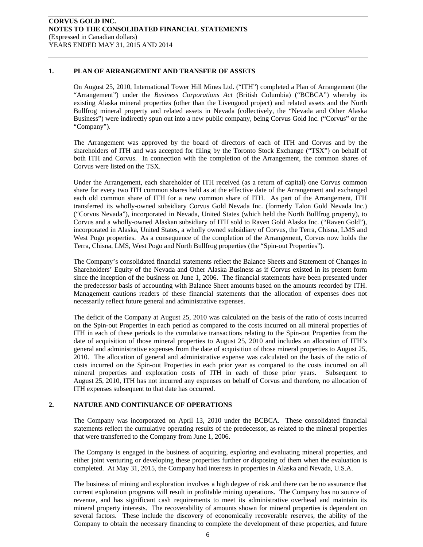#### **1. PLAN OF ARRANGEMENT AND TRANSFER OF ASSETS**

On August 25, 2010, International Tower Hill Mines Ltd. ("ITH") completed a Plan of Arrangement (the "Arrangement") under the *Business Corporations Act* (British Columbia) ("BCBCA") whereby its existing Alaska mineral properties (other than the Livengood project) and related assets and the North Bullfrog mineral property and related assets in Nevada (collectively, the "Nevada and Other Alaska Business") were indirectly spun out into a new public company, being Corvus Gold Inc. ("Corvus" or the "Company").

The Arrangement was approved by the board of directors of each of ITH and Corvus and by the shareholders of ITH and was accepted for filing by the Toronto Stock Exchange ("TSX") on behalf of both ITH and Corvus. In connection with the completion of the Arrangement, the common shares of Corvus were listed on the TSX.

Under the Arrangement, each shareholder of ITH received (as a return of capital) one Corvus common share for every two ITH common shares held as at the effective date of the Arrangement and exchanged each old common share of ITH for a new common share of ITH. As part of the Arrangement, ITH transferred its wholly-owned subsidiary Corvus Gold Nevada Inc. (formerly Talon Gold Nevada Inc.) ("Corvus Nevada"), incorporated in Nevada, United States (which held the North Bullfrog property), to Corvus and a wholly-owned Alaskan subsidiary of ITH sold to Raven Gold Alaska Inc. ("Raven Gold"), incorporated in Alaska, United States, a wholly owned subsidiary of Corvus, the Terra, Chisna, LMS and West Pogo properties. As a consequence of the completion of the Arrangement, Corvus now holds the Terra, Chisna, LMS, West Pogo and North Bullfrog properties (the "Spin-out Properties").

The Company's consolidated financial statements reflect the Balance Sheets and Statement of Changes in Shareholders' Equity of the Nevada and Other Alaska Business as if Corvus existed in its present form since the inception of the business on June 1, 2006. The financial statements have been presented under the predecessor basis of accounting with Balance Sheet amounts based on the amounts recorded by ITH. Management cautions readers of these financial statements that the allocation of expenses does not necessarily reflect future general and administrative expenses.

The deficit of the Company at August 25, 2010 was calculated on the basis of the ratio of costs incurred on the Spin-out Properties in each period as compared to the costs incurred on all mineral properties of ITH in each of these periods to the cumulative transactions relating to the Spin-out Properties from the date of acquisition of those mineral properties to August 25, 2010 and includes an allocation of ITH's general and administrative expenses from the date of acquisition of those mineral properties to August 25, 2010. The allocation of general and administrative expense was calculated on the basis of the ratio of costs incurred on the Spin-out Properties in each prior year as compared to the costs incurred on all mineral properties and exploration costs of ITH in each of those prior years. Subsequent to August 25, 2010, ITH has not incurred any expenses on behalf of Corvus and therefore, no allocation of ITH expenses subsequent to that date has occurred.

## **2. NATURE AND CONTINUANCE OF OPERATIONS**

The Company was incorporated on April 13, 2010 under the BCBCA. These consolidated financial statements reflect the cumulative operating results of the predecessor, as related to the mineral properties that were transferred to the Company from June 1, 2006.

The Company is engaged in the business of acquiring, exploring and evaluating mineral properties, and either joint venturing or developing these properties further or disposing of them when the evaluation is completed. At May 31, 2015, the Company had interests in properties in Alaska and Nevada, U.S.A.

The business of mining and exploration involves a high degree of risk and there can be no assurance that current exploration programs will result in profitable mining operations. The Company has no source of revenue, and has significant cash requirements to meet its administrative overhead and maintain its mineral property interests. The recoverability of amounts shown for mineral properties is dependent on several factors. These include the discovery of economically recoverable reserves, the ability of the Company to obtain the necessary financing to complete the development of these properties, and future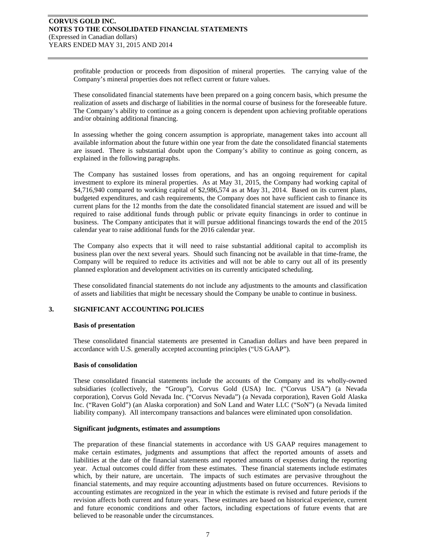profitable production or proceeds from disposition of mineral properties. The carrying value of the Company's mineral properties does not reflect current or future values.

These consolidated financial statements have been prepared on a going concern basis, which presume the realization of assets and discharge of liabilities in the normal course of business for the foreseeable future. The Company's ability to continue as a going concern is dependent upon achieving profitable operations and/or obtaining additional financing.

In assessing whether the going concern assumption is appropriate, management takes into account all available information about the future within one year from the date the consolidated financial statements are issued. There is substantial doubt upon the Company's ability to continue as going concern, as explained in the following paragraphs.

The Company has sustained losses from operations, and has an ongoing requirement for capital investment to explore its mineral properties. As at May 31, 2015, the Company had working capital of \$4,716,940 compared to working capital of \$2,986,574 as at May 31, 2014. Based on its current plans, budgeted expenditures, and cash requirements, the Company does not have sufficient cash to finance its current plans for the 12 months from the date the consolidated financial statement are issued and will be required to raise additional funds through public or private equity financings in order to continue in business. The Company anticipates that it will pursue additional financings towards the end of the 2015 calendar year to raise additional funds for the 2016 calendar year.

The Company also expects that it will need to raise substantial additional capital to accomplish its business plan over the next several years. Should such financing not be available in that time-frame, the Company will be required to reduce its activities and will not be able to carry out all of its presently planned exploration and development activities on its currently anticipated scheduling.

These consolidated financial statements do not include any adjustments to the amounts and classification of assets and liabilities that might be necessary should the Company be unable to continue in business.

#### **3. SIGNIFICANT ACCOUNTING POLICIES**

#### **Basis of presentation**

These consolidated financial statements are presented in Canadian dollars and have been prepared in accordance with U.S. generally accepted accounting principles ("US GAAP").

#### **Basis of consolidation**

These consolidated financial statements include the accounts of the Company and its wholly-owned subsidiaries (collectively, the "Group"), Corvus Gold (USA) Inc. ("Corvus USA") (a Nevada corporation), Corvus Gold Nevada Inc. ("Corvus Nevada") (a Nevada corporation), Raven Gold Alaska Inc. ("Raven Gold") (an Alaska corporation) and SoN Land and Water LLC ("SoN") (a Nevada limited liability company). All intercompany transactions and balances were eliminated upon consolidation.

#### **Significant judgments, estimates and assumptions**

The preparation of these financial statements in accordance with US GAAP requires management to make certain estimates, judgments and assumptions that affect the reported amounts of assets and liabilities at the date of the financial statements and reported amounts of expenses during the reporting year. Actual outcomes could differ from these estimates. These financial statements include estimates which, by their nature, are uncertain. The impacts of such estimates are pervasive throughout the financial statements, and may require accounting adjustments based on future occurrences. Revisions to accounting estimates are recognized in the year in which the estimate is revised and future periods if the revision affects both current and future years. These estimates are based on historical experience, current and future economic conditions and other factors, including expectations of future events that are believed to be reasonable under the circumstances.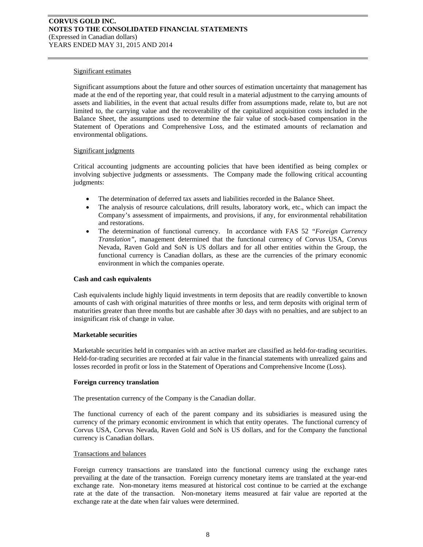#### Significant estimates

Significant assumptions about the future and other sources of estimation uncertainty that management has made at the end of the reporting year, that could result in a material adjustment to the carrying amounts of assets and liabilities, in the event that actual results differ from assumptions made, relate to, but are not limited to, the carrying value and the recoverability of the capitalized acquisition costs included in the Balance Sheet, the assumptions used to determine the fair value of stock-based compensation in the Statement of Operations and Comprehensive Loss, and the estimated amounts of reclamation and environmental obligations.

#### Significant judgments

Critical accounting judgments are accounting policies that have been identified as being complex or involving subjective judgments or assessments. The Company made the following critical accounting judgments:

- The determination of deferred tax assets and liabilities recorded in the Balance Sheet.
- The analysis of resource calculations, drill results, laboratory work, etc., which can impact the Company's assessment of impairments, and provisions, if any, for environmental rehabilitation and restorations.
- The determination of functional currency. In accordance with FAS 52 *"Foreign Currency Translation"*, management determined that the functional currency of Corvus USA, Corvus Nevada, Raven Gold and SoN is US dollars and for all other entities within the Group, the functional currency is Canadian dollars, as these are the currencies of the primary economic environment in which the companies operate.

## **Cash and cash equivalents**

Cash equivalents include highly liquid investments in term deposits that are readily convertible to known amounts of cash with original maturities of three months or less, and term deposits with original term of maturities greater than three months but are cashable after 30 days with no penalties, and are subject to an insignificant risk of change in value.

## **Marketable securities**

Marketable securities held in companies with an active market are classified as held-for-trading securities. Held-for-trading securities are recorded at fair value in the financial statements with unrealized gains and losses recorded in profit or loss in the Statement of Operations and Comprehensive Income (Loss).

## **Foreign currency translation**

The presentation currency of the Company is the Canadian dollar.

The functional currency of each of the parent company and its subsidiaries is measured using the currency of the primary economic environment in which that entity operates. The functional currency of Corvus USA, Corvus Nevada, Raven Gold and SoN is US dollars, and for the Company the functional currency is Canadian dollars.

## Transactions and balances

Foreign currency transactions are translated into the functional currency using the exchange rates prevailing at the date of the transaction. Foreign currency monetary items are translated at the year-end exchange rate. Non-monetary items measured at historical cost continue to be carried at the exchange rate at the date of the transaction. Non-monetary items measured at fair value are reported at the exchange rate at the date when fair values were determined.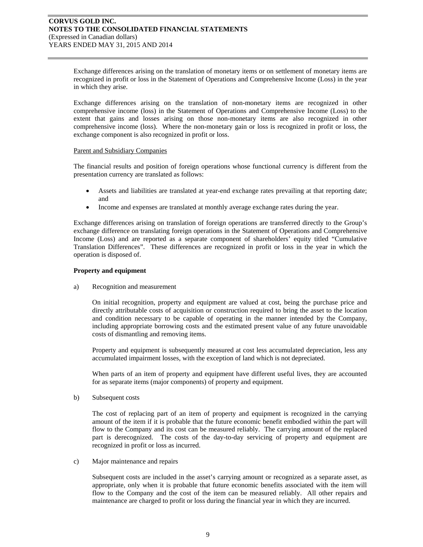Exchange differences arising on the translation of monetary items or on settlement of monetary items are recognized in profit or loss in the Statement of Operations and Comprehensive Income (Loss) in the year in which they arise.

Exchange differences arising on the translation of non-monetary items are recognized in other comprehensive income (loss) in the Statement of Operations and Comprehensive Income (Loss) to the extent that gains and losses arising on those non-monetary items are also recognized in other comprehensive income (loss). Where the non-monetary gain or loss is recognized in profit or loss, the exchange component is also recognized in profit or loss.

### Parent and Subsidiary Companies

The financial results and position of foreign operations whose functional currency is different from the presentation currency are translated as follows:

- Assets and liabilities are translated at year-end exchange rates prevailing at that reporting date; and
- Income and expenses are translated at monthly average exchange rates during the year.

Exchange differences arising on translation of foreign operations are transferred directly to the Group's exchange difference on translating foreign operations in the Statement of Operations and Comprehensive Income (Loss) and are reported as a separate component of shareholders' equity titled "Cumulative Translation Differences". These differences are recognized in profit or loss in the year in which the operation is disposed of.

#### **Property and equipment**

a) Recognition and measurement

On initial recognition, property and equipment are valued at cost, being the purchase price and directly attributable costs of acquisition or construction required to bring the asset to the location and condition necessary to be capable of operating in the manner intended by the Company, including appropriate borrowing costs and the estimated present value of any future unavoidable costs of dismantling and removing items.

Property and equipment is subsequently measured at cost less accumulated depreciation, less any accumulated impairment losses, with the exception of land which is not depreciated.

When parts of an item of property and equipment have different useful lives, they are accounted for as separate items (major components) of property and equipment.

b) Subsequent costs

The cost of replacing part of an item of property and equipment is recognized in the carrying amount of the item if it is probable that the future economic benefit embodied within the part will flow to the Company and its cost can be measured reliably. The carrying amount of the replaced part is derecognized. The costs of the day-to-day servicing of property and equipment are recognized in profit or loss as incurred.

c) Major maintenance and repairs

Subsequent costs are included in the asset's carrying amount or recognized as a separate asset, as appropriate, only when it is probable that future economic benefits associated with the item will flow to the Company and the cost of the item can be measured reliably. All other repairs and maintenance are charged to profit or loss during the financial year in which they are incurred.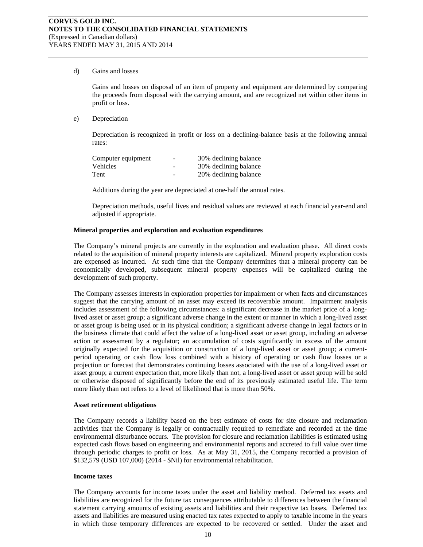#### d) Gains and losses

Gains and losses on disposal of an item of property and equipment are determined by comparing the proceeds from disposal with the carrying amount, and are recognized net within other items in profit or loss.

#### e) Depreciation

Depreciation is recognized in profit or loss on a declining-balance basis at the following annual rates:

| Computer equipment | $\overline{\phantom{0}}$ | 30% declining balance |
|--------------------|--------------------------|-----------------------|
| Vehicles           | -                        | 30% declining balance |
| Tent               |                          | 20% declining balance |

Additions during the year are depreciated at one-half the annual rates.

Depreciation methods, useful lives and residual values are reviewed at each financial year-end and adjusted if appropriate.

#### **Mineral properties and exploration and evaluation expenditures**

The Company's mineral projects are currently in the exploration and evaluation phase. All direct costs related to the acquisition of mineral property interests are capitalized. Mineral property exploration costs are expensed as incurred. At such time that the Company determines that a mineral property can be economically developed, subsequent mineral property expenses will be capitalized during the development of such property.

The Company assesses interests in exploration properties for impairment or when facts and circumstances suggest that the carrying amount of an asset may exceed its recoverable amount. Impairment analysis includes assessment of the following circumstances: a significant decrease in the market price of a longlived asset or asset group; a significant adverse change in the extent or manner in which a long-lived asset or asset group is being used or in its physical condition; a significant adverse change in legal factors or in the business climate that could affect the value of a long-lived asset or asset group, including an adverse action or assessment by a regulator; an accumulation of costs significantly in excess of the amount originally expected for the acquisition or construction of a long-lived asset or asset group; a currentperiod operating or cash flow loss combined with a history of operating or cash flow losses or a projection or forecast that demonstrates continuing losses associated with the use of a long-lived asset or asset group; a current expectation that, more likely than not, a long-lived asset or asset group will be sold or otherwise disposed of significantly before the end of its previously estimated useful life. The term more likely than not refers to a level of likelihood that is more than 50%.

#### **Asset retirement obligations**

The Company records a liability based on the best estimate of costs for site closure and reclamation activities that the Company is legally or contractually required to remediate and recorded at the time environmental disturbance occurs. The provision for closure and reclamation liabilities is estimated using expected cash flows based on engineering and environmental reports and accreted to full value over time through periodic charges to profit or loss. As at May 31, 2015, the Company recorded a provision of \$132,579 (USD 107,000) (2014 - \$Nil) for environmental rehabilitation.

#### **Income taxes**

The Company accounts for income taxes under the asset and liability method. Deferred tax assets and liabilities are recognized for the future tax consequences attributable to differences between the financial statement carrying amounts of existing assets and liabilities and their respective tax bases. Deferred tax assets and liabilities are measured using enacted tax rates expected to apply to taxable income in the years in which those temporary differences are expected to be recovered or settled. Under the asset and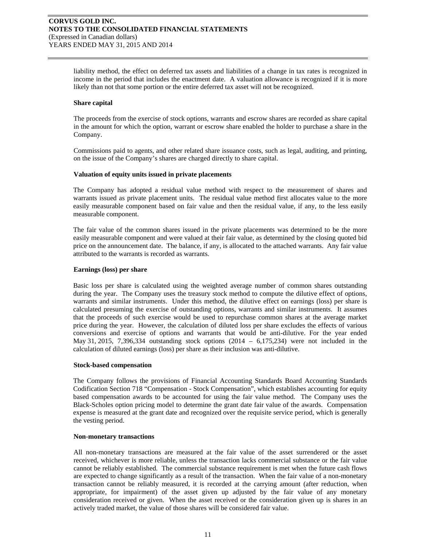liability method, the effect on deferred tax assets and liabilities of a change in tax rates is recognized in income in the period that includes the enactment date. A valuation allowance is recognized if it is more likely than not that some portion or the entire deferred tax asset will not be recognized.

#### **Share capital**

The proceeds from the exercise of stock options, warrants and escrow shares are recorded as share capital in the amount for which the option, warrant or escrow share enabled the holder to purchase a share in the Company.

Commissions paid to agents, and other related share issuance costs, such as legal, auditing, and printing, on the issue of the Company's shares are charged directly to share capital.

#### **Valuation of equity units issued in private placements**

The Company has adopted a residual value method with respect to the measurement of shares and warrants issued as private placement units. The residual value method first allocates value to the more easily measurable component based on fair value and then the residual value, if any, to the less easily measurable component.

The fair value of the common shares issued in the private placements was determined to be the more easily measurable component and were valued at their fair value, as determined by the closing quoted bid price on the announcement date. The balance, if any, is allocated to the attached warrants. Any fair value attributed to the warrants is recorded as warrants.

#### **Earnings (loss) per share**

Basic loss per share is calculated using the weighted average number of common shares outstanding during the year. The Company uses the treasury stock method to compute the dilutive effect of options, warrants and similar instruments. Under this method, the dilutive effect on earnings (loss) per share is calculated presuming the exercise of outstanding options, warrants and similar instruments. It assumes that the proceeds of such exercise would be used to repurchase common shares at the average market price during the year. However, the calculation of diluted loss per share excludes the effects of various conversions and exercise of options and warrants that would be anti-dilutive. For the year ended May 31, 2015, 7,396,334 outstanding stock options (2014 – 6,175,234) were not included in the calculation of diluted earnings (loss) per share as their inclusion was anti-dilutive.

#### **Stock-based compensation**

The Company follows the provisions of Financial Accounting Standards Board Accounting Standards Codification Section 718 "Compensation - Stock Compensation", which establishes accounting for equity based compensation awards to be accounted for using the fair value method. The Company uses the Black-Scholes option pricing model to determine the grant date fair value of the awards. Compensation expense is measured at the grant date and recognized over the requisite service period, which is generally the vesting period.

#### **Non-monetary transactions**

All non-monetary transactions are measured at the fair value of the asset surrendered or the asset received, whichever is more reliable, unless the transaction lacks commercial substance or the fair value cannot be reliably established. The commercial substance requirement is met when the future cash flows are expected to change significantly as a result of the transaction. When the fair value of a non-monetary transaction cannot be reliably measured, it is recorded at the carrying amount (after reduction, when appropriate, for impairment) of the asset given up adjusted by the fair value of any monetary consideration received or given. When the asset received or the consideration given up is shares in an actively traded market, the value of those shares will be considered fair value.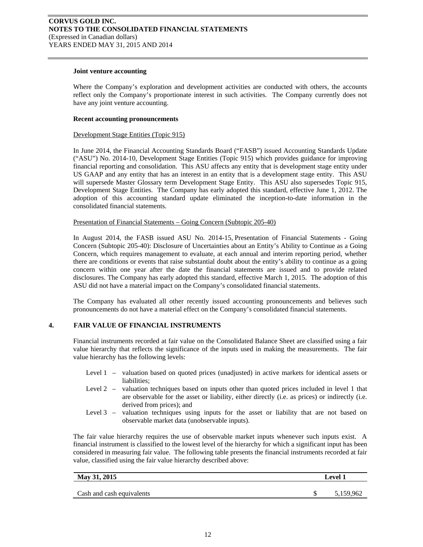#### **Joint venture accounting**

Where the Company's exploration and development activities are conducted with others, the accounts reflect only the Company's proportionate interest in such activities. The Company currently does not have any joint venture accounting.

#### **Recent accounting pronouncements**

#### Development Stage Entities (Topic 915)

In June 2014, the Financial Accounting Standards Board ("FASB") issued Accounting Standards Update ("ASU") No. 2014-10, Development Stage Entities (Topic 915) which provides guidance for improving financial reporting and consolidation. This ASU affects any entity that is development stage entity under US GAAP and any entity that has an interest in an entity that is a development stage entity. This ASU will supersede Master Glossary term Development Stage Entity. This ASU also supersedes Topic 915, Development Stage Entities. The Company has early adopted this standard, effective June 1, 2012. The adoption of this accounting standard update eliminated the inception-to-date information in the consolidated financial statements.

Presentation of Financial Statements – Going Concern (Subtopic 205-40)

In August 2014, the FASB issued ASU No. 2014-15, Presentation of Financial Statements - Going Concern (Subtopic 205-40): Disclosure of Uncertainties about an Entity's Ability to Continue as a Going Concern, which requires management to evaluate, at each annual and interim reporting period, whether there are conditions or events that raise substantial doubt about the entity's ability to continue as a going concern within one year after the date the financial statements are issued and to provide related disclosures. The Company has early adopted this standard, effective March 1, 2015. The adoption of this ASU did not have a material impact on the Company's consolidated financial statements.

The Company has evaluated all other recently issued accounting pronouncements and believes such pronouncements do not have a material effect on the Company's consolidated financial statements.

## **4. FAIR VALUE OF FINANCIAL INSTRUMENTS**

Financial instruments recorded at fair value on the Consolidated Balance Sheet are classified using a fair value hierarchy that reflects the significance of the inputs used in making the measurements. The fair value hierarchy has the following levels:

- Level 1 valuation based on quoted prices (unadjusted) in active markets for identical assets or liabilities;
- Level 2 valuation techniques based on inputs other than quoted prices included in level 1 that are observable for the asset or liability, either directly (i.e. as prices) or indirectly (i.e. derived from prices); and
- Level 3 valuation techniques using inputs for the asset or liability that are not based on observable market data (unobservable inputs).

The fair value hierarchy requires the use of observable market inputs whenever such inputs exist. A financial instrument is classified to the lowest level of the hierarchy for which a significant input has been considered in measuring fair value. The following table presents the financial instruments recorded at fair value, classified using the fair value hierarchy described above:

| May 31, 2015              | Level 1   |
|---------------------------|-----------|
| Cash and cash equivalents | 5,159,962 |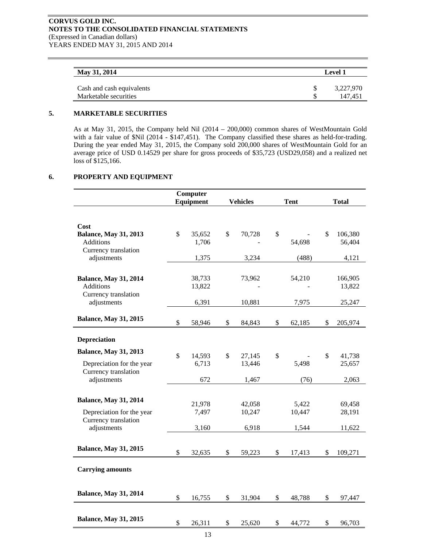## **CORVUS GOLD INC. NOTES TO THE CONSOLIDATED FINANCIAL STATEMENTS**  (Expressed in Canadian dollars)

YEARS ENDED MAY 31, 2015 AND 2014

| May 31, 2014                                       | Level 1              |
|----------------------------------------------------|----------------------|
| Cash and cash equivalents<br>Marketable securities | 3,227,970<br>147.451 |

## **5. MARKETABLE SECURITIES**

As at May 31, 2015, the Company held Nil (2014 – 200,000) common shares of WestMountain Gold with a fair value of \$Nil (2014 - \$147,451). The Company classified these shares as held-for-trading. During the year ended May 31, 2015, the Company sold 200,000 shares of WestMountain Gold for an average price of USD 0.14529 per share for gross proceeds of \$35,723 (USD29,058) and a realized net loss of \$125,166.

## **6. PROPERTY AND EQUIPMENT**

|                                                                          |               | Computer<br>Equipment |    | <b>Vehicles</b>  | <b>Tent</b>     | <b>Total</b> |                   |  |
|--------------------------------------------------------------------------|---------------|-----------------------|----|------------------|-----------------|--------------|-------------------|--|
|                                                                          |               |                       |    |                  |                 |              |                   |  |
| Cost<br><b>Balance, May 31, 2013</b>                                     | $\mathcal{S}$ | 35,652                | \$ | 70,728           | \$              | \$           | 106,380           |  |
| Additions<br>Currency translation<br>adjustments                         |               | 1,706<br>1,375        |    | 3,234            | 54,698<br>(488) |              | 56,404<br>4,121   |  |
| <b>Balance, May 31, 2014</b><br><b>Additions</b><br>Currency translation |               | 38,733<br>13,822      |    | 73,962           | 54,210          |              | 166,905<br>13,822 |  |
| adjustments                                                              |               | 6,391                 |    | 10,881           | 7,975           |              | 25,247            |  |
| <b>Balance, May 31, 2015</b>                                             | \$            | 58,946                | \$ | 84,843           | \$<br>62,185    | \$           | 205,974           |  |
| Depreciation                                                             |               |                       |    |                  |                 |              |                   |  |
| <b>Balance, May 31, 2013</b><br>Depreciation for the year                | \$            | 14,593<br>6,713       | \$ | 27,145<br>13,446 | \$<br>5,498     | \$           | 41,738<br>25,657  |  |
| Currency translation<br>adjustments                                      |               | 672                   |    | 1,467            | (76)            |              | 2,063             |  |
| <b>Balance, May 31, 2014</b>                                             |               | 21,978                |    | 42,058           | 5,422           |              | 69,458            |  |
| Depreciation for the year<br>Currency translation                        |               | 7,497                 |    | 10,247           | 10,447          |              | 28,191            |  |
| adjustments                                                              |               | 3,160                 |    | 6,918            | 1,544           |              | 11,622            |  |
| <b>Balance, May 31, 2015</b>                                             | \$            | 32,635                | \$ | 59,223           | \$<br>17,413    | \$           | 109,271           |  |
| <b>Carrying amounts</b>                                                  |               |                       |    |                  |                 |              |                   |  |
| <b>Balance, May 31, 2014</b>                                             | \$            | 16,755                | \$ | 31,904           | \$<br>48,788    | \$           | 97,447            |  |
| <b>Balance, May 31, 2015</b>                                             | \$            | 26,311                | \$ | 25,620           | \$<br>44,772    | \$           | 96,703            |  |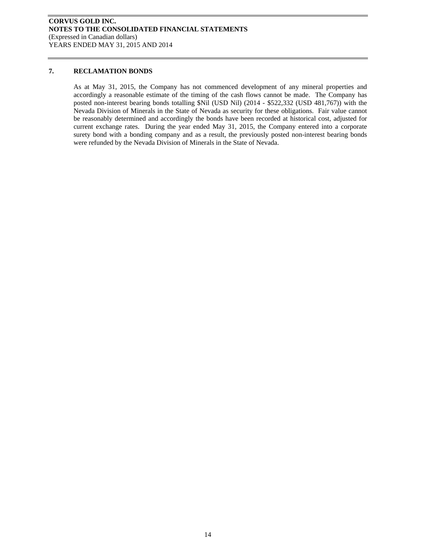#### **7. RECLAMATION BONDS**

As at May 31, 2015, the Company has not commenced development of any mineral properties and accordingly a reasonable estimate of the timing of the cash flows cannot be made. The Company has posted non-interest bearing bonds totalling \$Nil (USD Nil) (2014 - \$522,332 (USD 481,767)) with the Nevada Division of Minerals in the State of Nevada as security for these obligations. Fair value cannot be reasonably determined and accordingly the bonds have been recorded at historical cost, adjusted for current exchange rates. During the year ended May 31, 2015, the Company entered into a corporate surety bond with a bonding company and as a result, the previously posted non-interest bearing bonds were refunded by the Nevada Division of Minerals in the State of Nevada.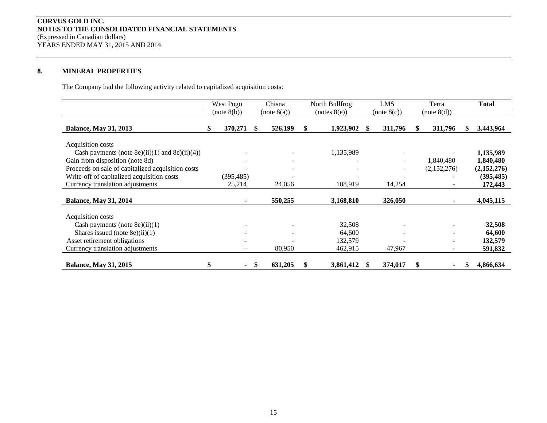#### **8.MINERAL PROPERTIES**

The Company had the following activity related to capitalized acquisition costs:

|                                                   | West Pogo      |    | Chisna      |   | North Bullfrog |     | <b>LMS</b>  | Terra |                          |    | <b>Total</b> |
|---------------------------------------------------|----------------|----|-------------|---|----------------|-----|-------------|-------|--------------------------|----|--------------|
|                                                   | (note 8(b))    |    | (note 8(a)) |   | (notes 8(e))   |     | (note 8(c)) |       | (note 8(d))              |    |              |
| <b>Balance, May 31, 2013</b>                      | \$<br>370,271  | -S | 526,199     | S | 1,923,902      | \$. | 311,796     |       | 311,796                  | S  | 3,443,964    |
| Acquisition costs                                 |                |    |             |   |                |     |             |       |                          |    |              |
| Cash payments (note 8e)(ii)(1) and 8e)(ii)(4))    |                |    |             |   | 1,135,989      |     |             |       |                          |    | 1,135,989    |
| Gain from disposition (note 8d)                   |                |    |             |   |                |     |             |       | 1,840,480                |    | 1,840,480    |
| Proceeds on sale of capitalized acquisition costs |                |    |             |   |                |     |             |       | (2,152,276)              |    | (2,152,276)  |
| Write-off of capitalized acquisition costs        | (395, 485)     |    |             |   |                |     |             |       |                          |    | (395, 485)   |
| Currency translation adjustments                  | 25,214         |    | 24,056      |   | 108,919        |     | 14,254      |       |                          |    | 172,443      |
| <b>Balance, May 31, 2014</b>                      | ۰              |    | 550,255     |   | 3,168,810      |     | 326,050     |       |                          |    | 4,045,115    |
|                                                   |                |    |             |   |                |     |             |       |                          |    |              |
| Acquisition costs                                 |                |    |             |   |                |     |             |       |                          |    |              |
| Cash payments (note $8e$ )(ii)(1)                 |                |    |             |   | 32,508         |     |             |       |                          |    | 32,508       |
| Shares issued (note $8e$ )(ii)(1)                 |                |    |             |   | 64,600         |     |             |       |                          |    | 64,600       |
| Asset retirement obligations                      |                |    |             |   | 132,579        |     |             |       |                          |    | 132,579      |
| Currency translation adjustments                  | -              |    | 80,950      |   | 462,915        |     | 47,967      |       | $\overline{\phantom{a}}$ |    | 591,832      |
| <b>Balance, May 31, 2015</b>                      | $\blacksquare$ |    | 631,205     |   | 3,861,412      |     | 374,017     |       |                          | \$ | 4,866,634    |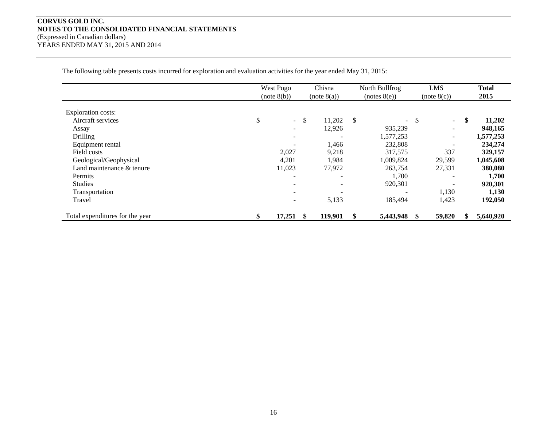The following table presents costs incurred for exploration and evaluation activities for the year ended May 31, 2015:

|                                 | West Pogo                |        | Chisna      |               | North Bullfrog |               | <b>LMS</b>               |     | <b>Total</b> |
|---------------------------------|--------------------------|--------|-------------|---------------|----------------|---------------|--------------------------|-----|--------------|
|                                 | (note 8(b))              |        | (note 8(a)) |               | (notes 8(e))   | (note 8(c))   |                          |     | 2015         |
|                                 |                          |        |             |               |                |               |                          |     |              |
| Exploration costs:              |                          |        |             |               |                |               |                          |     |              |
| Aircraft services               | \$                       | $-$ \$ | 11,202      | <sup>\$</sup> | $\blacksquare$ | <sup>\$</sup> | $\sim$                   | -\$ | 11,202       |
| Assay                           | $\overline{\phantom{0}}$ |        | 12,926      |               | 935,239        |               | $\overline{\phantom{a}}$ |     | 948,165      |
| <b>Drilling</b>                 |                          |        |             |               | 1,577,253      |               | $\sim$                   |     | 1,577,253    |
| Equipment rental                |                          |        | 1,466       |               | 232,808        |               |                          |     | 234,274      |
| Field costs                     | 2,027                    |        | 9,218       |               | 317,575        |               | 337                      |     | 329,157      |
| Geological/Geophysical          | 4,201                    |        | 1,984       |               | 1,009,824      |               | 29,599                   |     | 1,045,608    |
| Land maintenance & tenure       | 11,023                   |        | 77,972      |               | 263,754        |               | 27,331                   |     | 380,080      |
| Permits                         | -                        |        |             |               | 1,700          |               |                          |     | 1,700        |
| <b>Studies</b>                  |                          |        |             |               | 920,301        |               |                          |     | 920,301      |
| Transportation                  |                          |        |             |               |                |               | 1,130                    |     | 1,130        |
| Travel                          |                          |        | 5,133       |               | 185,494        |               | 1,423                    |     | 192,050      |
|                                 |                          |        |             |               |                |               |                          |     |              |
| Total expenditures for the year | \$<br>17,251             | S      | 119,901     |               | 5,443,948      | \$.           | 59,820                   | -SS | 5,640,920    |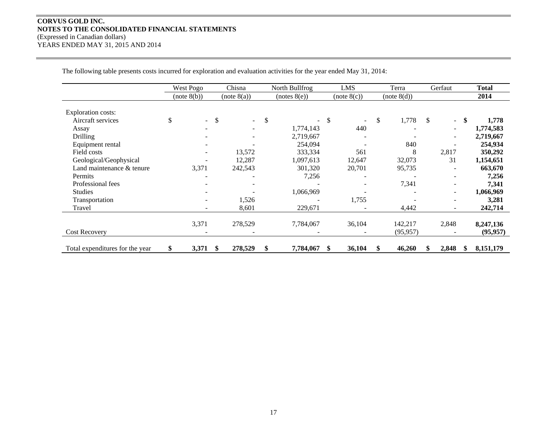|                                 | West Pogo        |               | Chisna                   |               | North Bullfrog |              | <b>LMS</b> | Terra       |           | Gerfaut |                          |      | <b>Total</b> |
|---------------------------------|------------------|---------------|--------------------------|---------------|----------------|--------------|------------|-------------|-----------|---------|--------------------------|------|--------------|
|                                 | (note 8(b))      |               | (note 8(a))              |               | (notes 8(e))   | (note 8(c))  |            | (note 8(d)) |           |         |                          |      | 2014         |
| <b>Exploration costs:</b>       |                  |               |                          |               |                |              |            |             |           |         |                          |      |              |
| Aircraft services               | \$<br>$\sim$ $-$ | $\mathcal{S}$ | $\overline{\phantom{a}}$ | $\mathcal{S}$ | $\blacksquare$ | $\mathbb{S}$ | ٠          | \$.         | 1,778     | \$.     | $\sim$                   | - \$ | 1,778        |
| Assay                           |                  |               | $\overline{\phantom{a}}$ |               | 1,774,143      |              | 440        |             |           |         | $\blacksquare$           |      | 1,774,583    |
| <b>Drilling</b>                 |                  |               | ۰                        |               | 2,719,667      |              |            |             |           |         |                          |      | 2,719,667    |
| Equipment rental                |                  |               | $\overline{\phantom{a}}$ |               | 254,094        |              |            |             | 840       |         |                          |      | 254,934      |
| Field costs                     |                  |               | 13,572                   |               | 333,334        |              | 561        |             | 8         |         | 2,817                    |      | 350,292      |
| Geological/Geophysical          |                  |               | 12,287                   |               | 1,097,613      |              | 12,647     |             | 32,073    |         | 31                       |      | 1,154,651    |
| Land maintenance & tenure       | 3,371            |               | 242,543                  |               | 301,320        |              | 20,701     |             | 95,735    |         |                          |      | 663,670      |
| Permits                         |                  |               | $\qquad \qquad -$        |               | 7,256          |              | ۰          |             |           |         |                          |      | 7,256        |
| Professional fees               |                  |               | ۰                        |               |                |              |            |             | 7,341     |         | $\sim$                   |      | 7,341        |
| <b>Studies</b>                  |                  |               |                          |               | 1,066,969      |              |            |             |           |         |                          |      | 1,066,969    |
| Transportation                  |                  |               | 1,526                    |               |                |              | 1,755      |             |           |         | $\overline{\phantom{a}}$ |      | 3,281        |
| Travel                          |                  |               | 8,601                    |               | 229,671        |              |            |             | 4,442     |         | $\overline{\phantom{a}}$ |      | 242,714      |
|                                 | 3,371            |               | 278,529                  |               | 7,784,067      |              | 36,104     |             | 142,217   |         | 2,848                    |      | 8,247,136    |
| <b>Cost Recovery</b>            |                  |               |                          |               |                |              |            |             | (95, 957) |         |                          |      | (95, 957)    |
| Total expenditures for the year | \$<br>3,371      | <sup>\$</sup> | 278,529                  | \$            | 7,784,067      | S.           | 36,104     |             | 46,260    |         | 2,848                    | -SS  | 8,151,179    |

The following table presents costs incurred for exploration and evaluation activities for the year ended May 31, 2014: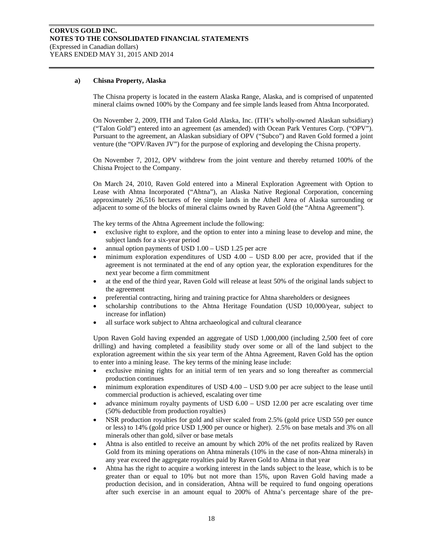#### **a) Chisna Property, Alaska**

The Chisna property is located in the eastern Alaska Range, Alaska, and is comprised of unpatented mineral claims owned 100% by the Company and fee simple lands leased from Ahtna Incorporated.

On November 2, 2009, ITH and Talon Gold Alaska, Inc. (ITH's wholly-owned Alaskan subsidiary) ("Talon Gold") entered into an agreement (as amended) with Ocean Park Ventures Corp. ("OPV"). Pursuant to the agreement, an Alaskan subsidiary of OPV ("Subco") and Raven Gold formed a joint venture (the "OPV/Raven JV") for the purpose of exploring and developing the Chisna property.

On November 7, 2012, OPV withdrew from the joint venture and thereby returned 100% of the Chisna Project to the Company.

On March 24, 2010, Raven Gold entered into a Mineral Exploration Agreement with Option to Lease with Ahtna Incorporated ("Ahtna"), an Alaska Native Regional Corporation, concerning approximately 26,516 hectares of fee simple lands in the Athell Area of Alaska surrounding or adjacent to some of the blocks of mineral claims owned by Raven Gold (the "Ahtna Agreement").

The key terms of the Ahtna Agreement include the following:

- exclusive right to explore, and the option to enter into a mining lease to develop and mine, the subject lands for a six-year period
- annual option payments of USD 1.00 USD 1.25 per acre
- minimum exploration expenditures of USD 4.00 USD 8.00 per acre, provided that if the agreement is not terminated at the end of any option year, the exploration expenditures for the next year become a firm commitment
- at the end of the third year, Raven Gold will release at least 50% of the original lands subject to the agreement
- preferential contracting, hiring and training practice for Ahtna shareholders or designees
- scholarship contributions to the Ahtna Heritage Foundation (USD 10,000/year, subject to increase for inflation)
- all surface work subject to Ahtna archaeological and cultural clearance

Upon Raven Gold having expended an aggregate of USD 1,000,000 (including 2,500 feet of core drilling) and having completed a feasibility study over some or all of the land subject to the exploration agreement within the six year term of the Ahtna Agreement, Raven Gold has the option to enter into a mining lease. The key terms of the mining lease include:

- exclusive mining rights for an initial term of ten years and so long thereafter as commercial production continues
- minimum exploration expenditures of USD 4.00 USD 9.00 per acre subject to the lease until commercial production is achieved, escalating over time
- advance minimum royalty payments of USD 6.00 USD 12.00 per acre escalating over time (50% deductible from production royalties)
- NSR production royalties for gold and silver scaled from 2.5% (gold price USD 550 per ounce or less) to 14% (gold price USD 1,900 per ounce or higher). 2.5% on base metals and 3% on all minerals other than gold, silver or base metals
- Ahtna is also entitled to receive an amount by which 20% of the net profits realized by Raven Gold from its mining operations on Ahtna minerals (10% in the case of non-Ahtna minerals) in any year exceed the aggregate royalties paid by Raven Gold to Ahtna in that year
- Ahtna has the right to acquire a working interest in the lands subject to the lease, which is to be greater than or equal to 10% but not more than 15%, upon Raven Gold having made a production decision, and in consideration, Ahtna will be required to fund ongoing operations after such exercise in an amount equal to 200% of Ahtna's percentage share of the pre-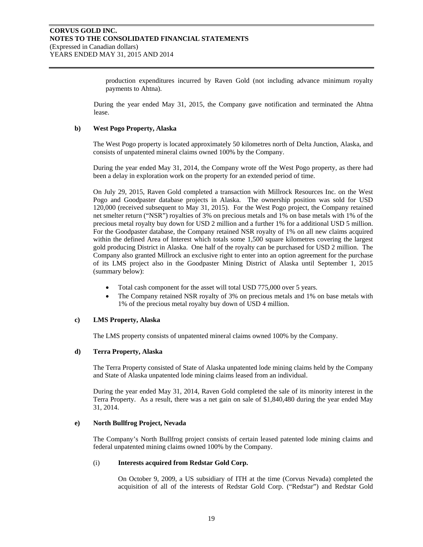production expenditures incurred by Raven Gold (not including advance minimum royalty payments to Ahtna).

During the year ended May 31, 2015, the Company gave notification and terminated the Ahtna lease.

#### **b) West Pogo Property, Alaska**

The West Pogo property is located approximately 50 kilometres north of Delta Junction, Alaska, and consists of unpatented mineral claims owned 100% by the Company.

During the year ended May 31, 2014, the Company wrote off the West Pogo property, as there had been a delay in exploration work on the property for an extended period of time.

On July 29, 2015, Raven Gold completed a transaction with Millrock Resources Inc. on the West Pogo and Goodpaster database projects in Alaska. The ownership position was sold for USD 120,000 (received subsequent to May 31, 2015). For the West Pogo project, the Company retained net smelter return ("NSR") royalties of 3% on precious metals and 1% on base metals with 1% of the precious metal royalty buy down for USD 2 million and a further 1% for a additional USD 5 million. For the Goodpaster database, the Company retained NSR royalty of 1% on all new claims acquired within the defined Area of Interest which totals some 1,500 square kilometres covering the largest gold producing District in Alaska. One half of the royalty can be purchased for USD 2 million. The Company also granted Millrock an exclusive right to enter into an option agreement for the purchase of its LMS project also in the Goodpaster Mining District of Alaska until September 1, 2015 (summary below):

- Total cash component for the asset will total USD 775,000 over 5 years.
- The Company retained NSR royalty of 3% on precious metals and 1% on base metals with 1% of the precious metal royalty buy down of USD 4 million.

#### **c) LMS Property, Alaska**

The LMS property consists of unpatented mineral claims owned 100% by the Company.

#### **d) Terra Property, Alaska**

The Terra Property consisted of State of Alaska unpatented lode mining claims held by the Company and State of Alaska unpatented lode mining claims leased from an individual.

During the year ended May 31, 2014, Raven Gold completed the sale of its minority interest in the Terra Property. As a result, there was a net gain on sale of \$1,840,480 during the year ended May 31, 2014.

#### **e) North Bullfrog Project, Nevada**

The Company's North Bullfrog project consists of certain leased patented lode mining claims and federal unpatented mining claims owned 100% by the Company.

#### (i) **Interests acquired from Redstar Gold Corp.**

On October 9, 2009, a US subsidiary of ITH at the time (Corvus Nevada) completed the acquisition of all of the interests of Redstar Gold Corp. ("Redstar") and Redstar Gold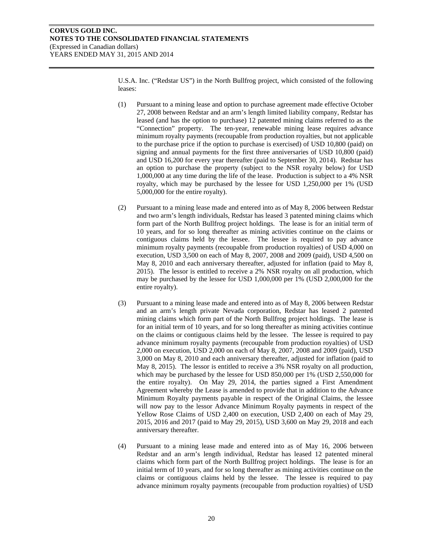U.S.A. Inc. ("Redstar US") in the North Bullfrog project, which consisted of the following leases:

- (1) Pursuant to a mining lease and option to purchase agreement made effective October 27, 2008 between Redstar and an arm's length limited liability company, Redstar has leased (and has the option to purchase) 12 patented mining claims referred to as the "Connection" property. The ten-year, renewable mining lease requires advance minimum royalty payments (recoupable from production royalties, but not applicable to the purchase price if the option to purchase is exercised) of USD 10,800 (paid) on signing and annual payments for the first three anniversaries of USD 10,800 (paid) and USD 16,200 for every year thereafter (paid to September 30, 2014). Redstar has an option to purchase the property (subject to the NSR royalty below) for USD 1,000,000 at any time during the life of the lease. Production is subject to a 4% NSR royalty, which may be purchased by the lessee for USD 1,250,000 per 1% (USD 5,000,000 for the entire royalty).
- (2) Pursuant to a mining lease made and entered into as of May 8, 2006 between Redstar and two arm's length individuals, Redstar has leased 3 patented mining claims which form part of the North Bullfrog project holdings. The lease is for an initial term of 10 years, and for so long thereafter as mining activities continue on the claims or contiguous claims held by the lessee. The lessee is required to pay advance minimum royalty payments (recoupable from production royalties) of USD 4,000 on execution, USD 3,500 on each of May 8, 2007, 2008 and 2009 (paid), USD 4,500 on May 8, 2010 and each anniversary thereafter, adjusted for inflation (paid to May 8, 2015). The lessor is entitled to receive a 2% NSR royalty on all production, which may be purchased by the lessee for USD 1,000,000 per 1% (USD 2,000,000 for the entire royalty).
- (3) Pursuant to a mining lease made and entered into as of May 8, 2006 between Redstar and an arm's length private Nevada corporation, Redstar has leased 2 patented mining claims which form part of the North Bullfrog project holdings. The lease is for an initial term of 10 years, and for so long thereafter as mining activities continue on the claims or contiguous claims held by the lessee. The lessee is required to pay advance minimum royalty payments (recoupable from production royalties) of USD 2,000 on execution, USD 2,000 on each of May 8, 2007, 2008 and 2009 (paid), USD 3,000 on May 8, 2010 and each anniversary thereafter, adjusted for inflation (paid to May 8, 2015). The lessor is entitled to receive a 3% NSR royalty on all production, which may be purchased by the lessee for USD 850,000 per 1% (USD 2,550,000 for the entire royalty). On May 29, 2014, the parties signed a First Amendment Agreement whereby the Lease is amended to provide that in addition to the Advance Minimum Royalty payments payable in respect of the Original Claims, the lessee will now pay to the lessor Advance Minimum Royalty payments in respect of the Yellow Rose Claims of USD 2,400 on execution, USD 2,400 on each of May 29, 2015, 2016 and 2017 (paid to May 29, 2015), USD 3,600 on May 29, 2018 and each anniversary thereafter.
- (4) Pursuant to a mining lease made and entered into as of May 16, 2006 between Redstar and an arm's length individual, Redstar has leased 12 patented mineral claims which form part of the North Bullfrog project holdings. The lease is for an initial term of 10 years, and for so long thereafter as mining activities continue on the claims or contiguous claims held by the lessee. The lessee is required to pay advance minimum royalty payments (recoupable from production royalties) of USD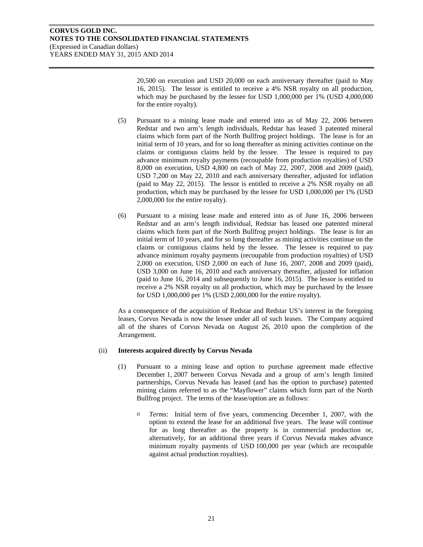20,500 on execution and USD 20,000 on each anniversary thereafter (paid to May 16, 2015). The lessor is entitled to receive a 4% NSR royalty on all production, which may be purchased by the lessee for USD 1,000,000 per 1% (USD 4,000,000 for the entire royalty).

- (5) Pursuant to a mining lease made and entered into as of May 22, 2006 between Redstar and two arm's length individuals, Redstar has leased 3 patented mineral claims which form part of the North Bullfrog project holdings. The lease is for an initial term of 10 years, and for so long thereafter as mining activities continue on the claims or contiguous claims held by the lessee. The lessee is required to pay advance minimum royalty payments (recoupable from production royalties) of USD 8,000 on execution, USD 4,800 on each of May 22, 2007, 2008 and 2009 (paid), USD 7,200 on May 22, 2010 and each anniversary thereafter, adjusted for inflation (paid to May 22, 2015). The lessor is entitled to receive a 2% NSR royalty on all production, which may be purchased by the lessee for USD 1,000,000 per 1% (USD 2,000,000 for the entire royalty).
- (6) Pursuant to a mining lease made and entered into as of June 16, 2006 between Redstar and an arm's length individual, Redstar has leased one patented mineral claims which form part of the North Bullfrog project holdings. The lease is for an initial term of 10 years, and for so long thereafter as mining activities continue on the claims or contiguous claims held by the lessee. The lessee is required to pay advance minimum royalty payments (recoupable from production royalties) of USD 2,000 on execution, USD 2,000 on each of June 16, 2007, 2008 and 2009 (paid), USD 3,000 on June 16, 2010 and each anniversary thereafter, adjusted for inflation (paid to June 16, 2014 and subsequently to June 16, 2015). The lessor is entitled to receive a 2% NSR royalty on all production, which may be purchased by the lessee for USD 1,000,000 per 1% (USD 2,000,000 for the entire royalty).

As a consequence of the acquisition of Redstar and Redstar US's interest in the foregoing leases, Corvus Nevada is now the lessee under all of such leases. The Company acquired all of the shares of Corvus Nevada on August 26, 2010 upon the completion of the Arrangement.

#### (ii) **Interests acquired directly by Corvus Nevada**

- (1) Pursuant to a mining lease and option to purchase agreement made effective December 1, 2007 between Corvus Nevada and a group of arm's length limited partnerships, Corvus Nevada has leased (and has the option to purchase) patented mining claims referred to as the "Mayflower" claims which form part of the North Bullfrog project. The terms of the lease/option are as follows:
	- ¤ *Terms*: Initial term of five years, commencing December 1, 2007, with the option to extend the lease for an additional five years. The lease will continue for as long thereafter as the property is in commercial production or, alternatively, for an additional three years if Corvus Nevada makes advance minimum royalty payments of USD 100,000 per year (which are recoupable against actual production royalties).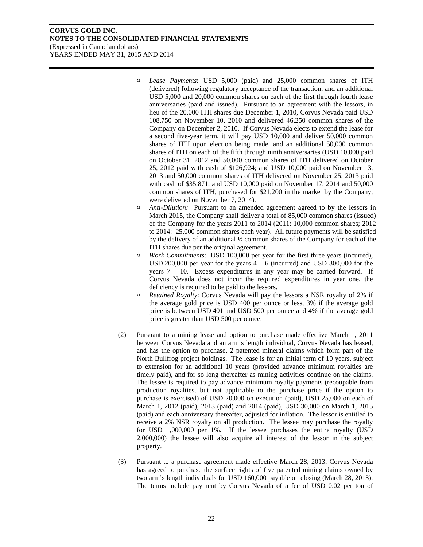- ¤ *Lease Payments*: USD 5,000 (paid) and 25,000 common shares of ITH (delivered) following regulatory acceptance of the transaction; and an additional USD 5,000 and 20,000 common shares on each of the first through fourth lease anniversaries (paid and issued). Pursuant to an agreement with the lessors, in lieu of the 20,000 ITH shares due December 1, 2010, Corvus Nevada paid USD 108,750 on November 10, 2010 and delivered 46,250 common shares of the Company on December 2, 2010. If Corvus Nevada elects to extend the lease for a second five-year term, it will pay USD 10,000 and deliver 50,000 common shares of ITH upon election being made, and an additional 50,000 common shares of ITH on each of the fifth through ninth anniversaries (USD 10,000 paid on October 31, 2012 and 50,000 common shares of ITH delivered on October 25, 2012 paid with cash of \$126,924; and USD 10,000 paid on November 13, 2013 and 50,000 common shares of ITH delivered on November 25, 2013 paid with cash of \$35,871, and USD 10,000 paid on November 17, 2014 and 50,000 common shares of ITH, purchased for \$21,200 in the market by the Company, were delivered on November 7, 2014).
- ¤ *Anti-Dilution:* Pursuant to an amended agreement agreed to by the lessors in March 2015, the Company shall deliver a total of 85,000 common shares (issued) of the Company for the years 2011 to 2014 (2011: 10,000 common shares; 2012 to 2014: 25,000 common shares each year). All future payments will be satisfied by the delivery of an additional ½ common shares of the Company for each of the ITH shares due per the original agreement.
- ¤ *Work Commitments*: USD 100,000 per year for the first three years (incurred), USD 200,000 per year for the years  $4 - 6$  (incurred) and USD 300,000 for the years 7 – 10. Excess expenditures in any year may be carried forward. If Corvus Nevada does not incur the required expenditures in year one, the deficiency is required to be paid to the lessors.
- ¤ *Retained Royalty*: Corvus Nevada will pay the lessors a NSR royalty of 2% if the average gold price is USD 400 per ounce or less, 3% if the average gold price is between USD 401 and USD 500 per ounce and 4% if the average gold price is greater than USD 500 per ounce.
- (2) Pursuant to a mining lease and option to purchase made effective March 1, 2011 between Corvus Nevada and an arm's length individual, Corvus Nevada has leased, and has the option to purchase, 2 patented mineral claims which form part of the North Bullfrog project holdings. The lease is for an initial term of 10 years, subject to extension for an additional 10 years (provided advance minimum royalties are timely paid), and for so long thereafter as mining activities continue on the claims. The lessee is required to pay advance minimum royalty payments (recoupable from production royalties, but not applicable to the purchase price if the option to purchase is exercised) of USD 20,000 on execution (paid), USD 25,000 on each of March 1, 2012 (paid), 2013 (paid) and 2014 (paid), USD 30,000 on March 1, 2015 (paid) and each anniversary thereafter, adjusted for inflation. The lessor is entitled to receive a 2% NSR royalty on all production. The lessee may purchase the royalty for USD 1,000,000 per 1%. If the lessee purchases the entire royalty (USD 2,000,000) the lessee will also acquire all interest of the lessor in the subject property.
- (3) Pursuant to a purchase agreement made effective March 28, 2013, Corvus Nevada has agreed to purchase the surface rights of five patented mining claims owned by two arm's length individuals for USD 160,000 payable on closing (March 28, 2013). The terms include payment by Corvus Nevada of a fee of USD 0.02 per ton of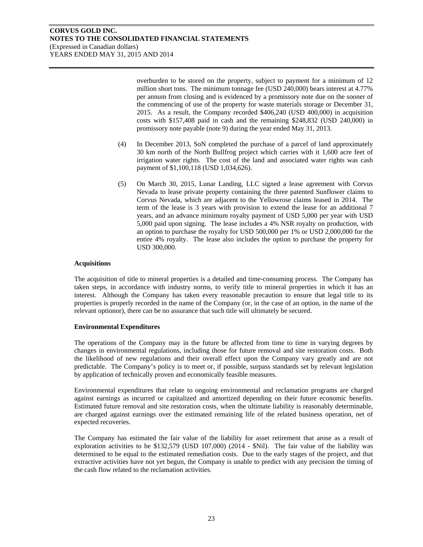overburden to be stored on the property, subject to payment for a minimum of 12 million short tons. The minimum tonnage fee (USD 240,000) bears interest at 4.77% per annum from closing and is evidenced by a promissory note due on the sooner of the commencing of use of the property for waste materials storage or December 31, 2015. As a result, the Company recorded \$406,240 (USD 400,000) in acquisition costs with \$157,408 paid in cash and the remaining \$248,832 (USD 240,000) in promissory note payable (note 9) during the year ended May 31, 2013.

- (4) In December 2013, SoN completed the purchase of a parcel of land approximately 30 km north of the North Bullfrog project which carries with it 1,600 acre feet of irrigation water rights. The cost of the land and associated water rights was cash payment of \$1,100,118 (USD 1,034,626).
- (5) On March 30, 2015, Lunar Landing, LLC signed a lease agreement with Corvus Nevada to lease private property containing the three patented Sunflower claims to Corvus Nevada, which are adjacent to the Yellowrose claims leased in 2014. The term of the lease is 3 years with provision to extend the lease for an additional 7 years, and an advance minimum royalty payment of USD 5,000 per year with USD 5,000 paid upon signing. The lease includes a 4% NSR royalty on production, with an option to purchase the royalty for USD 500,000 per 1% or USD 2,000,000 for the entire 4% royalty. The lease also includes the option to purchase the property for USD 300,000.

### **Acquisitions**

The acquisition of title to mineral properties is a detailed and time-consuming process. The Company has taken steps, in accordance with industry norms, to verify title to mineral properties in which it has an interest. Although the Company has taken every reasonable precaution to ensure that legal title to its properties is properly recorded in the name of the Company (or, in the case of an option, in the name of the relevant optionor), there can be no assurance that such title will ultimately be secured.

#### **Environmental Expenditures**

The operations of the Company may in the future be affected from time to time in varying degrees by changes in environmental regulations, including those for future removal and site restoration costs. Both the likelihood of new regulations and their overall effect upon the Company vary greatly and are not predictable. The Company's policy is to meet or, if possible, surpass standards set by relevant legislation by application of technically proven and economically feasible measures.

Environmental expenditures that relate to ongoing environmental and reclamation programs are charged against earnings as incurred or capitalized and amortized depending on their future economic benefits. Estimated future removal and site restoration costs, when the ultimate liability is reasonably determinable, are charged against earnings over the estimated remaining life of the related business operation, net of expected recoveries.

The Company has estimated the fair value of the liability for asset retirement that arose as a result of exploration activities to be \$132,579 (USD 107,000) (2014 - \$Nil). The fair value of the liability was determined to be equal to the estimated remediation costs. Due to the early stages of the project, and that extractive activities have not yet begun, the Company is unable to predict with any precision the timing of the cash flow related to the reclamation activities.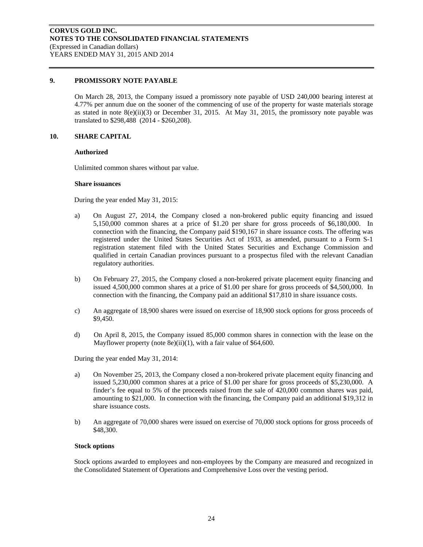## **9. PROMISSORY NOTE PAYABLE**

On March 28, 2013, the Company issued a promissory note payable of USD 240,000 bearing interest at 4.77% per annum due on the sooner of the commencing of use of the property for waste materials storage as stated in note  $8(e)(ii)(3)$  or December 31, 2015. At May 31, 2015, the promissory note payable was translated to \$298,488 (2014 - \$260,208).

#### **10. SHARE CAPITAL**

## **Authorized**

Unlimited common shares without par value.

#### **Share issuances**

During the year ended May 31, 2015:

- a) On August 27, 2014, the Company closed a non-brokered public equity financing and issued 5,150,000 common shares at a price of \$1.20 per share for gross proceeds of \$6,180,000. In connection with the financing, the Company paid \$190,167 in share issuance costs. The offering was registered under the United States Securities Act of 1933, as amended, pursuant to a Form S-1 registration statement filed with the United States Securities and Exchange Commission and qualified in certain Canadian provinces pursuant to a prospectus filed with the relevant Canadian regulatory authorities.
- b) On February 27, 2015, the Company closed a non-brokered private placement equity financing and issued 4,500,000 common shares at a price of \$1.00 per share for gross proceeds of \$4,500,000. In connection with the financing, the Company paid an additional \$17,810 in share issuance costs.
- c) An aggregate of 18,900 shares were issued on exercise of 18,900 stock options for gross proceeds of \$9,450.
- d) On April 8, 2015, the Company issued 85,000 common shares in connection with the lease on the Mayflower property (note 8e)(ii)(1), with a fair value of \$64,600.

During the year ended May 31, 2014:

- a) On November 25, 2013, the Company closed a non-brokered private placement equity financing and issued 5,230,000 common shares at a price of \$1.00 per share for gross proceeds of \$5,230,000. A finder's fee equal to 5% of the proceeds raised from the sale of 420,000 common shares was paid, amounting to \$21,000. In connection with the financing, the Company paid an additional \$19,312 in share issuance costs.
- b) An aggregate of 70,000 shares were issued on exercise of 70,000 stock options for gross proceeds of \$48,300.

#### **Stock options**

Stock options awarded to employees and non-employees by the Company are measured and recognized in the Consolidated Statement of Operations and Comprehensive Loss over the vesting period.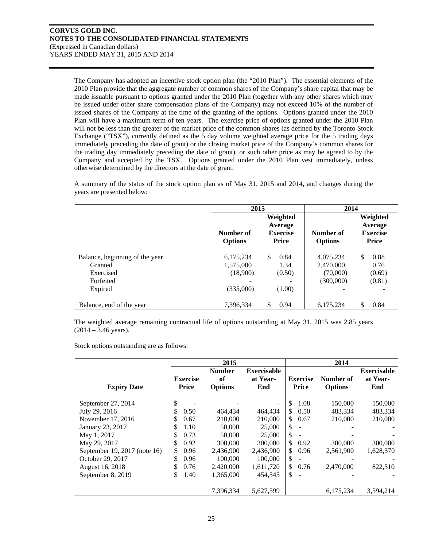The Company has adopted an incentive stock option plan (the "2010 Plan"). The essential elements of the 2010 Plan provide that the aggregate number of common shares of the Company's share capital that may be made issuable pursuant to options granted under the 2010 Plan (together with any other shares which may be issued under other share compensation plans of the Company) may not exceed 10% of the number of issued shares of the Company at the time of the granting of the options. Options granted under the 2010 Plan will have a maximum term of ten years. The exercise price of options granted under the 2010 Plan will not be less than the greater of the market price of the common shares (as defined by the Toronto Stock Exchange ("TSX"), currently defined as the 5 day volume weighted average price for the 5 trading days immediately preceding the date of grant) or the closing market price of the Company's common shares for the trading day immediately preceding the date of grant), or such other price as may be agreed to by the Company and accepted by the TSX. Options granted under the 2010 Plan vest immediately, unless otherwise determined by the directors at the date of grant.

A summary of the status of the stock option plan as of May 31, 2015 and 2014, and changes during the years are presented below:

|                                                                                | 2015                                            |                                         | 2014                                                   |                                        |  |  |  |
|--------------------------------------------------------------------------------|-------------------------------------------------|-----------------------------------------|--------------------------------------------------------|----------------------------------------|--|--|--|
|                                                                                | Number of<br><b>Options</b>                     | Number of<br><b>Options</b>             | Weighted<br>Average<br><b>Exercise</b><br><b>Price</b> |                                        |  |  |  |
| Balance, beginning of the year<br>Granted<br>Exercised<br>Forfeited<br>Expired | 6,175,234<br>1,575,000<br>(18,900)<br>(335,000) | \$.<br>0.84<br>1.34<br>(0.50)<br>(1.00) | 4,075,234<br>2,470,000<br>(70,000)<br>(300,000)        | \$<br>0.88<br>0.76<br>(0.69)<br>(0.81) |  |  |  |
| Balance, end of the year                                                       | 7,396,334                                       | S<br>0.94                               | 6,175,234                                              | \$<br>0.84                             |  |  |  |

The weighted average remaining contractual life of options outstanding at May 31, 2015 was 2.85 years  $(2014 - 3.46 \text{ years}).$ 

Stock options outstanding are as follows:

|                                                                                                                                             |                                                                                  | 2015                                                           |                                                                |                                                                                                      | 2014                                                  |                                                       |
|---------------------------------------------------------------------------------------------------------------------------------------------|----------------------------------------------------------------------------------|----------------------------------------------------------------|----------------------------------------------------------------|------------------------------------------------------------------------------------------------------|-------------------------------------------------------|-------------------------------------------------------|
| <b>Expiry Date</b>                                                                                                                          | <b>Exercise</b><br>Price                                                         | <b>Number</b><br>of<br><b>Options</b>                          | <b>Exercisable</b><br>at Year-<br>End                          | <b>Exercise</b><br><b>Price</b>                                                                      | Number of<br><b>Options</b>                           | <b>Exercisable</b><br>at Year-<br>End                 |
| September 27, 2014<br>July 29, 2016<br>November 17, 2016<br>January 23, 2017<br>May 1, 2017<br>May 29, 2017<br>September 19, 2017 (note 16) | \$<br>\$<br>0.50<br>\$<br>0.67<br>1.10<br>0.73<br>\$<br>\$<br>0.92<br>\$<br>0.96 | 464,434<br>210,000<br>50,000<br>50,000<br>300,000<br>2.436.900 | 464,434<br>210,000<br>25,000<br>25,000<br>300,000<br>2,436,900 | \$<br>1.08<br>\$.<br>0.50<br>\$<br>0.67<br>\$<br>$\qquad \qquad -$<br>\$<br>\$<br>0.92<br>\$<br>0.96 | 150,000<br>483,334<br>210,000<br>300,000<br>2,561,900 | 150,000<br>483,334<br>210,000<br>300,000<br>1,628,370 |
| October 29, 2017<br>August 16, 2018<br>September 8, 2019                                                                                    | \$<br>0.96<br>0.76<br>1.40<br>S                                                  | 100,000<br>2,420,000<br>1,365,000<br>7,396,334                 | 100,000<br>1,611,720<br>454.545<br>5,627,599                   | \$<br>\$<br>0.76<br>\$                                                                               | 2,470,000<br>6,175,234                                | 822,510<br>3,594,214                                  |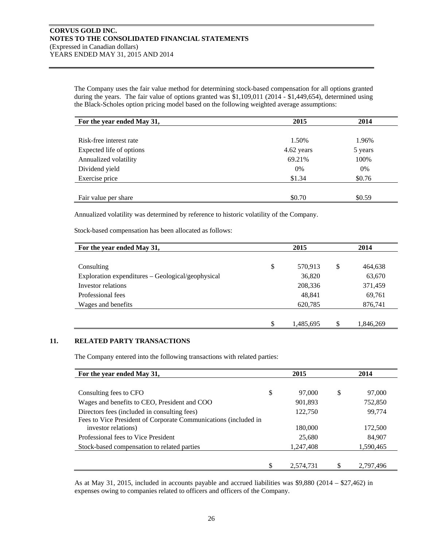The Company uses the fair value method for determining stock-based compensation for all options granted during the years. The fair value of options granted was \$1,109,011 (2014 - \$1,449,654), determined using the Black-Scholes option pricing model based on the following weighted average assumptions:

| For the year ended May 31, | 2015       | 2014    |
|----------------------------|------------|---------|
|                            |            |         |
| Risk-free interest rate    | 1.50%      | 1.96%   |
| Expected life of options   | 4.62 years | 5 years |
| Annualized volatility      | 69.21%     | 100%    |
| Dividend yield             | 0%         | $0\%$   |
| Exercise price             | \$1.34     | \$0.76  |
|                            |            |         |
| Fair value per share       | \$0.70     | \$0.59  |

Annualized volatility was determined by reference to historic volatility of the Company.

Stock-based compensation has been allocated as follows:

| For the year ended May 31,                        | 2015 |           |    | 2014      |  |
|---------------------------------------------------|------|-----------|----|-----------|--|
|                                                   |      |           |    |           |  |
| Consulting                                        | \$   | 570,913   | \$ | 464,638   |  |
| Exploration expenditures – Geological/geophysical |      | 36,820    |    | 63,670    |  |
| Investor relations                                |      | 208,336   |    | 371,459   |  |
| Professional fees                                 |      | 48,841    |    | 69,761    |  |
| Wages and benefits                                |      | 620,785   |    | 876,741   |  |
|                                                   |      |           |    |           |  |
|                                                   |      | 1,485,695 | \$ | 1,846,269 |  |

## **11. RELATED PARTY TRANSACTIONS**

The Company entered into the following transactions with related parties:

| For the year ended May 31,                                      |    | 2015      |   | 2014      |  |
|-----------------------------------------------------------------|----|-----------|---|-----------|--|
|                                                                 |    |           |   |           |  |
| Consulting fees to CFO                                          | \$ | 97,000    | S | 97,000    |  |
| Wages and benefits to CEO, President and COO                    |    | 901,893   |   | 752,850   |  |
| Directors fees (included in consulting fees)                    |    | 122,750   |   | 99,774    |  |
| Fees to Vice President of Corporate Communications (included in |    |           |   |           |  |
| investor relations)                                             |    | 180,000   |   | 172,500   |  |
| Professional fees to Vice President                             |    | 25,680    |   | 84,907    |  |
| Stock-based compensation to related parties                     |    | 1,247,408 |   | 1,590,465 |  |
|                                                                 |    |           |   |           |  |
|                                                                 | \$ | 2,574,731 |   | 2,797,496 |  |

As at May 31, 2015, included in accounts payable and accrued liabilities was \$9,880 (2014 – \$27,462) in expenses owing to companies related to officers and officers of the Company.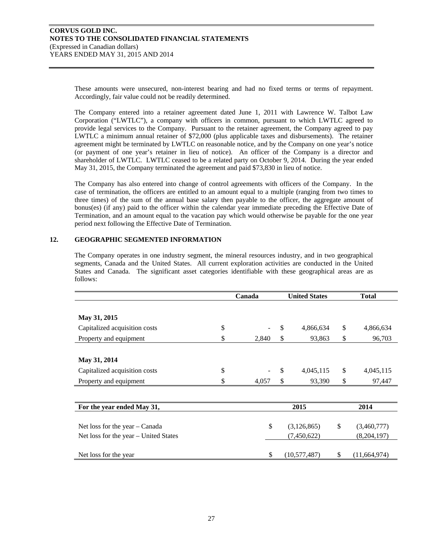These amounts were unsecured, non-interest bearing and had no fixed terms or terms of repayment. Accordingly, fair value could not be readily determined.

The Company entered into a retainer agreement dated June 1, 2011 with Lawrence W. Talbot Law Corporation ("LWTLC"), a company with officers in common, pursuant to which LWTLC agreed to provide legal services to the Company. Pursuant to the retainer agreement, the Company agreed to pay LWTLC a minimum annual retainer of \$72,000 (plus applicable taxes and disbursements). The retainer agreement might be terminated by LWTLC on reasonable notice, and by the Company on one year's notice (or payment of one year's retainer in lieu of notice). An officer of the Company is a director and shareholder of LWTLC. LWTLC ceased to be a related party on October 9, 2014. During the year ended May 31, 2015, the Company terminated the agreement and paid \$73,830 in lieu of notice.

The Company has also entered into change of control agreements with officers of the Company. In the case of termination, the officers are entitled to an amount equal to a multiple (ranging from two times to three times) of the sum of the annual base salary then payable to the officer, the aggregate amount of bonus(es) (if any) paid to the officer within the calendar year immediate preceding the Effective Date of Termination, and an amount equal to the vacation pay which would otherwise be payable for the one year period next following the Effective Date of Termination.

## **12. GEOGRAPHIC SEGMENTED INFORMATION**

The Company operates in one industry segment, the mineral resources industry, and in two geographical segments, Canada and the United States. All current exploration activities are conducted in the United States and Canada. The significant asset categories identifiable with these geographical areas are as follows:

|                                       | Canada      | <b>United States</b> |              |    | <b>Total</b>   |  |
|---------------------------------------|-------------|----------------------|--------------|----|----------------|--|
|                                       |             |                      |              |    |                |  |
| May 31, 2015                          |             |                      |              |    |                |  |
| Capitalized acquisition costs         | \$          | \$                   | 4,866,634    | \$ | 4,866,634      |  |
| Property and equipment                | \$<br>2,840 | \$                   | 93,863       | \$ | 96,703         |  |
|                                       |             |                      |              |    |                |  |
| May 31, 2014                          |             |                      |              |    |                |  |
| Capitalized acquisition costs         | \$          | \$                   | 4,045,115    | \$ | 4,045,115      |  |
| Property and equipment                | 4,057       | \$                   | 93,390       | \$ | 97,447         |  |
|                                       |             |                      |              |    |                |  |
|                                       |             |                      |              |    |                |  |
| For the year ended May 31,            |             |                      | 2015         |    | 2014           |  |
|                                       |             |                      |              |    |                |  |
| Net loss for the year $-$ Canada      | \$          |                      | (3,126,865)  | \$ | (3,460,777)    |  |
| Net loss for the year – United States |             |                      | (7,450,622)  |    | (8,204,197)    |  |
|                                       |             |                      |              |    |                |  |
| Net loss for the year                 | \$          |                      | (10,577,487) | S  | (11, 664, 974) |  |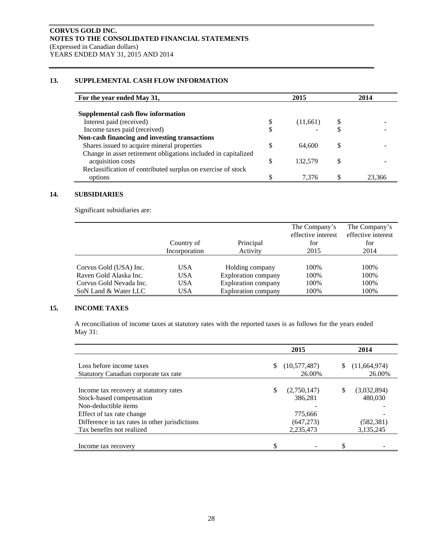## **13. SUPPLEMENTAL CASH FLOW INFORMATION**

| For the year ended May 31,                                     |    | 2015     |   | 2014   |  |
|----------------------------------------------------------------|----|----------|---|--------|--|
|                                                                |    |          |   |        |  |
| Supplemental cash flow information                             |    |          |   |        |  |
| Interest paid (received)                                       | ъĐ | (11,661) | S |        |  |
| Income taxes paid (received)                                   |    |          |   |        |  |
| Non-cash financing and investing transactions                  |    |          |   |        |  |
| Shares issued to acquire mineral properties                    | S  | 64,600   | S |        |  |
| Change in asset retirement obligations included in capitalized |    |          |   |        |  |
| acquisition costs                                              | S  | 132,579  |   |        |  |
| Reclassification of contributed surplus on exercise of stock   |    |          |   |        |  |
| options                                                        |    | 7.376    |   | 23.366 |  |

## **14. SUBSIDIARIES**

Significant subsidiaries are:

|                         |               |                            | The Company's      | The Company's      |
|-------------------------|---------------|----------------------------|--------------------|--------------------|
|                         |               |                            | effective interest | effective interest |
|                         | Country of    | Principal                  | for                | for                |
|                         | Incorporation | Activity                   | 2015               | 2014               |
|                         |               |                            |                    |                    |
| Corvus Gold (USA) Inc.  | <b>USA</b>    | Holding company            | 100%               | 100%               |
| Raven Gold Alaska Inc.  | <b>USA</b>    | <b>Exploration company</b> | 100%               | 100%               |
| Corvus Gold Nevada Inc. | <b>USA</b>    | <b>Exploration company</b> | 100%               | 100%               |
| SoN Land & Water LLC    | USA           | <b>Exploration company</b> | 100%               | 100%               |

## **15. INCOME TAXES**

A reconciliation of income taxes at statutory rates with the reported taxes is as follows for the years ended May 31:

|                                                                                                                                                                                                        | 2015 |                                                              | 2014 |                                                   |
|--------------------------------------------------------------------------------------------------------------------------------------------------------------------------------------------------------|------|--------------------------------------------------------------|------|---------------------------------------------------|
| Loss before income taxes<br>Statutory Canadian corporate tax rate                                                                                                                                      | \$   | (10,577,487)<br>26.00%                                       | S.   | (11,664,974)<br>26.00%                            |
| Income tax recovery at statutory rates<br>Stock-based compensation<br>Non-deductible items<br>Effect of tax rate change<br>Difference in tax rates in other jurisdictions<br>Tax benefits not realized | \$   | (2,750,147)<br>386,281<br>775,666<br>(647, 273)<br>2,235,473 | \$.  | (3,032,894)<br>480,030<br>(582, 381)<br>3,135,245 |
| Income tax recovery                                                                                                                                                                                    |      |                                                              |      |                                                   |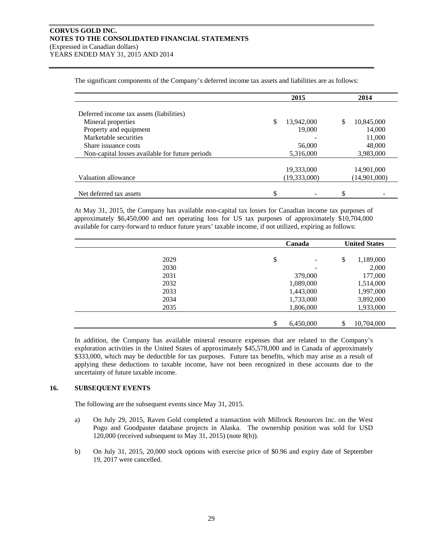The significant components of the Company's deferred income tax assets and liabilities are as follows:

|                                                 | 2015             |    | 2014         |
|-------------------------------------------------|------------------|----|--------------|
| Deferred income tax assets (liabilities)        |                  |    |              |
| Mineral properties                              | \$<br>13,942,000 | S  | 10,845,000   |
| Property and equipment                          | 19,000           |    | 14,000       |
| Marketable securities                           |                  |    | 11,000       |
| Share issuance costs                            | 56,000           |    | 48,000       |
| Non-capital losses available for future periods | 5,316,000        |    | 3,983,000    |
|                                                 | 19,333,000       |    | 14,901,000   |
| Valuation allowance                             | (19, 333, 000)   |    | (14,901,000) |
| Net deferred tax assets                         | \$               | \$ |              |

At May 31, 2015, the Company has available non-capital tax losses for Canadian income tax purposes of approximately \$6,450,000 and net operating loss for US tax purposes of approximately \$10,704,000 available for carry-forward to reduce future years' taxable income, if not utilized, expiring as follows:

|      | Canada          | <b>United States</b> |
|------|-----------------|----------------------|
|      |                 |                      |
| 2029 | \$<br>-         | \$<br>1,189,000      |
| 2030 | -               | 2,000                |
| 2031 | 379,000         | 177,000              |
| 2032 | 1,089,000       | 1,514,000            |
| 2033 | 1,443,000       | 1,997,000            |
| 2034 | 1,733,000       | 3,892,000            |
| 2035 | 1,806,000       | 1,933,000            |
|      |                 |                      |
|      | \$<br>6,450,000 | \$<br>10,704,000     |

In addition, the Company has available mineral resource expenses that are related to the Company's exploration activities in the United States of approximately \$45,578,000 and in Canada of approximately \$333,000, which may be deductible for tax purposes. Future tax benefits, which may arise as a result of applying these deductions to taxable income, have not been recognized in these accounts due to the uncertainty of future taxable income.

## **16. SUBSEQUENT EVENTS**

The following are the subsequent events since May 31, 2015.

- a) On July 29, 2015, Raven Gold completed a transaction with Millrock Resources Inc. on the West Pogo and Goodpaster database projects in Alaska. The ownership position was sold for USD 120,000 (received subsequent to May 31, 2015) (note 8(b)).
- b) On July 31, 2015, 20,000 stock options with exercise price of \$0.96 and expiry date of September 19, 2017 were cancelled.